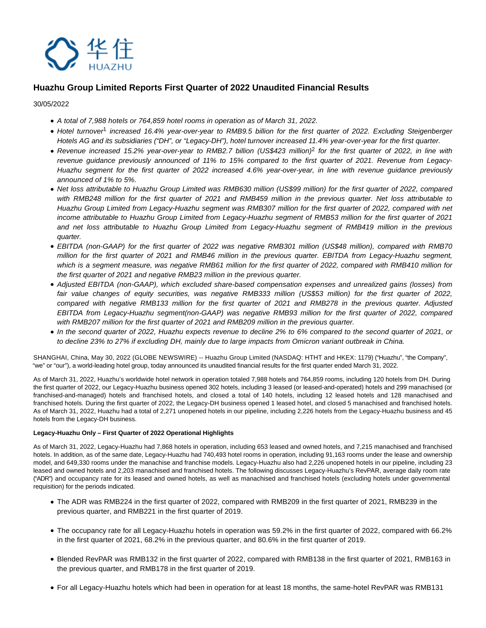

# **Huazhu Group Limited Reports First Quarter of 2022 Unaudited Financial Results**

30/05/2022

- A total of 7,988 hotels or 764,859 hotel rooms in operation as of March 31, 2022.
- Hotel turnover<sup>1</sup> increased 16.4% year-over-year to RMB9.5 billion for the first quarter of 2022. Excluding Steigenberger Hotels AG and its subsidiaries ("DH", or "Legacy-DH"), hotel turnover increased 11.4% year-over-year for the first quarter.
- Revenue increased 15.2% year-over-year to RMB2.7 billion (US\$423 million)<sup>2</sup> for the first quarter of 2022, in line with revenue guidance previously announced of 11% to 15% compared to the first quarter of 2021. Revenue from Legacy-Huazhu segment for the first quarter of 2022 increased 4.6% year-over-year, in line with revenue guidance previously announced of 1% to 5%.
- Net loss attributable to Huazhu Group Limited was RMB630 million (US\$99 million) for the first quarter of 2022, compared with RMB248 million for the first quarter of 2021 and RMB459 million in the previous quarter. Net loss attributable to Huazhu Group Limited from Legacy-Huazhu segment was RMB307 million for the first quarter of 2022, compared with net income attributable to Huazhu Group Limited from Legacy-Huazhu segment of RMB53 million for the first quarter of 2021 and net loss attributable to Huazhu Group Limited from Legacy-Huazhu segment of RMB419 million in the previous quarter.
- EBITDA (non-GAAP) for the first quarter of 2022 was negative RMB301 million (US\$48 million), compared with RMB70 million for the first quarter of 2021 and RMB46 million in the previous quarter. EBITDA from Legacy-Huazhu segment, which is a segment measure, was negative RMB61 million for the first quarter of 2022, compared with RMB410 million for the first quarter of 2021 and negative RMB23 million in the previous quarter.
- Adjusted EBITDA (non-GAAP), which excluded share-based compensation expenses and unrealized gains (losses) from fair value changes of equity securities, was negative RMB333 million (US\$53 million) for the first quarter of 2022, compared with negative RMB133 million for the first quarter of 2021 and RMB278 in the previous quarter. Adjusted EBITDA from Legacy-Huazhu segment(non-GAAP) was negative RMB93 million for the first quarter of 2022, compared with RMB207 million for the first quarter of 2021 and RMB209 million in the previous quarter.
- In the second quarter of 2022, Huazhu expects revenue to decline 2% to 6% compared to the second quarter of 2021, or to decline 23% to 27% if excluding DH, mainly due to large impacts from Omicron variant outbreak in China.

SHANGHAI, China, May 30, 2022 (GLOBE NEWSWIRE) -- Huazhu Group Limited (NASDAQ: HTHT and HKEX: 1179) ("Huazhu", "the Company", "we" or "our"), a world-leading hotel group, today announced its unaudited financial results for the first quarter ended March 31, 2022.

As of March 31, 2022, Huazhu's worldwide hotel network in operation totaled 7,988 hotels and 764,859 rooms, including 120 hotels from DH. During the first quarter of 2022, our Legacy-Huazhu business opened 302 hotels, including 3 leased (or leased-and-operated) hotels and 299 manachised (or franchised-and-managed) hotels and franchised hotels, and closed a total of 140 hotels, including 12 leased hotels and 128 manachised and franchised hotels. During the first quarter of 2022, the Legacy-DH business opened 1 leased hotel, and closed 5 manachised and franchised hotels. As of March 31, 2022, Huazhu had a total of 2,271 unopened hotels in our pipeline, including 2,226 hotels from the Legacy-Huazhu business and 45 hotels from the Legacy-DH business.

### **Legacy-Huazhu Only – First Quarter of 2022 Operational Highlights**

As of March 31, 2022, Legacy-Huazhu had 7,868 hotels in operation, including 653 leased and owned hotels, and 7,215 manachised and franchised hotels. In addition, as of the same date, Legacy-Huazhu had 740,493 hotel rooms in operation, including 91,163 rooms under the lease and ownership model, and 649,330 rooms under the manachise and franchise models. Legacy-Huazhu also had 2,226 unopened hotels in our pipeline, including 23 leased and owned hotels and 2,203 manachised and franchised hotels. The following discusses Legacy-Huazhu's RevPAR, average daily room rate ("ADR") and occupancy rate for its leased and owned hotels, as well as manachised and franchised hotels (excluding hotels under governmental requisition) for the periods indicated.

- The ADR was RMB224 in the first quarter of 2022, compared with RMB209 in the first quarter of 2021, RMB239 in the previous quarter, and RMB221 in the first quarter of 2019.
- The occupancy rate for all Legacy-Huazhu hotels in operation was 59.2% in the first quarter of 2022, compared with 66.2% in the first quarter of 2021, 68.2% in the previous quarter, and 80.6% in the first quarter of 2019.
- Blended RevPAR was RMB132 in the first quarter of 2022, compared with RMB138 in the first quarter of 2021, RMB163 in the previous quarter, and RMB178 in the first quarter of 2019.
- For all Legacy-Huazhu hotels which had been in operation for at least 18 months, the same-hotel RevPAR was RMB131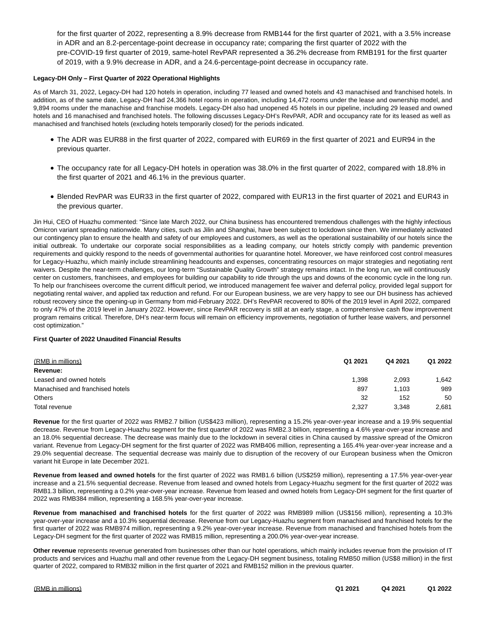for the first quarter of 2022, representing a 8.9% decrease from RMB144 for the first quarter of 2021, with a 3.5% increase in ADR and an 8.2-percentage-point decrease in occupancy rate; comparing the first quarter of 2022 with the pre-COVID-19 first quarter of 2019, same-hotel RevPAR represented a 36.2% decrease from RMB191 for the first quarter of 2019, with a 9.9% decrease in ADR, and a 24.6-percentage-point decrease in occupancy rate.

### **Legacy-DH Only – First Quarter of 2022 Operational Highlights**

As of March 31, 2022, Legacy-DH had 120 hotels in operation, including 77 leased and owned hotels and 43 manachised and franchised hotels. In addition, as of the same date, Legacy-DH had 24,366 hotel rooms in operation, including 14,472 rooms under the lease and ownership model, and 9,894 rooms under the manachise and franchise models. Legacy-DH also had unopened 45 hotels in our pipeline, including 29 leased and owned hotels and 16 manachised and franchised hotels. The following discusses Legacy-DH's RevPAR, ADR and occupancy rate for its leased as well as manachised and franchised hotels (excluding hotels temporarily closed) for the periods indicated.

- The ADR was EUR88 in the first quarter of 2022, compared with EUR69 in the first quarter of 2021 and EUR94 in the previous quarter.
- The occupancy rate for all Legacy-DH hotels in operation was 38.0% in the first quarter of 2022, compared with 18.8% in the first quarter of 2021 and 46.1% in the previous quarter.
- Blended RevPAR was EUR33 in the first quarter of 2022, compared with EUR13 in the first quarter of 2021 and EUR43 in the previous quarter.

Jin Hui, CEO of Huazhu commented: "Since late March 2022, our China business has encountered tremendous challenges with the highly infectious Omicron variant spreading nationwide. Many cities, such as Jilin and Shanghai, have been subject to lockdown since then. We immediately activated our contingency plan to ensure the health and safety of our employees and customers, as well as the operational sustainability of our hotels since the initial outbreak. To undertake our corporate social responsibilities as a leading company, our hotels strictly comply with pandemic prevention requirements and quickly respond to the needs of governmental authorities for quarantine hotel. Moreover, we have reinforced cost control measures for Legacy-Huazhu, which mainly include streamlining headcounts and expenses, concentrating resources on major strategies and negotiating rent waivers. Despite the near-term challenges, our long-term "Sustainable Quality Growth" strategy remains intact. In the long run, we will continuously center on customers, franchisees, and employees for building our capability to ride through the ups and downs of the economic cycle in the long run. To help our franchisees overcome the current difficult period, we introduced management fee waiver and deferral policy, provided legal support for negotiating rental waiver, and applied tax reduction and refund. For our European business, we are very happy to see our DH business has achieved robust recovery since the opening-up in Germany from mid-February 2022. DH's RevPAR recovered to 80% of the 2019 level in April 2022, compared to only 47% of the 2019 level in January 2022. However, since RevPAR recovery is still at an early stage, a comprehensive cash flow improvement program remains critical. Therefore, DH's near-term focus will remain on efficiency improvements, negotiation of further lease waivers, and personnel cost optimization."

### **First Quarter of 2022 Unaudited Financial Results**

| (RMB in millions)                | Q1 2021 | Q4 2021 | Q1 2022 |
|----------------------------------|---------|---------|---------|
| Revenue:                         |         |         |         |
| Leased and owned hotels          | 1,398   | 2,093   | .642    |
| Manachised and franchised hotels | 897     | 1.103   | 989     |
| Others                           | 32      | 152     | 50      |
| Total revenue                    | 2,327   | 3.348   | 2,681   |

**Revenue** for the first quarter of 2022 was RMB2.7 billion (US\$423 million), representing a 15.2% year-over-year increase and a 19.9% sequential decrease. Revenue from Legacy-Huazhu segment for the first quarter of 2022 was RMB2.3 billion, representing a 4.6% year-over-year increase and an 18.0% sequential decrease. The decrease was mainly due to the lockdown in several cities in China caused by massive spread of the Omicron variant. Revenue from Legacy-DH segment for the first quarter of 2022 was RMB406 million, representing a 165.4% year-over-year increase and a 29.0% sequential decrease. The sequential decrease was mainly due to disruption of the recovery of our European business when the Omicron variant hit Europe in late December 2021.

**Revenue from leased and owned hotels** for the first quarter of 2022 was RMB1.6 billion (US\$259 million), representing a 17.5% year-over-year increase and a 21.5% sequential decrease. Revenue from leased and owned hotels from Legacy-Huazhu segment for the first quarter of 2022 was RMB1.3 billion, representing a 0.2% year-over-year increase. Revenue from leased and owned hotels from Legacy-DH segment for the first quarter of 2022 was RMB384 million, representing a 168.5% year-over-year increase.

**Revenue from manachised and franchised hotels** for the first quarter of 2022 was RMB989 million (US\$156 million), representing a 10.3% year-over-year increase and a 10.3% sequential decrease. Revenue from our Legacy-Huazhu segment from manachised and franchised hotels for the first quarter of 2022 was RMB974 million, representing a 9.2% year-over-year increase. Revenue from manachised and franchised hotels from the Legacy-DH segment for the first quarter of 2022 was RMB15 million, representing a 200.0% year-over-year increase.

**Other revenue** represents revenue generated from businesses other than our hotel operations, which mainly includes revenue from the provision of IT products and services and Huazhu mall and other revenue from the Legacy-DH segment business, totaling RMB50 million (US\$8 million) in the first quarter of 2022, compared to RMB32 million in the first quarter of 2021 and RMB152 million in the previous quarter.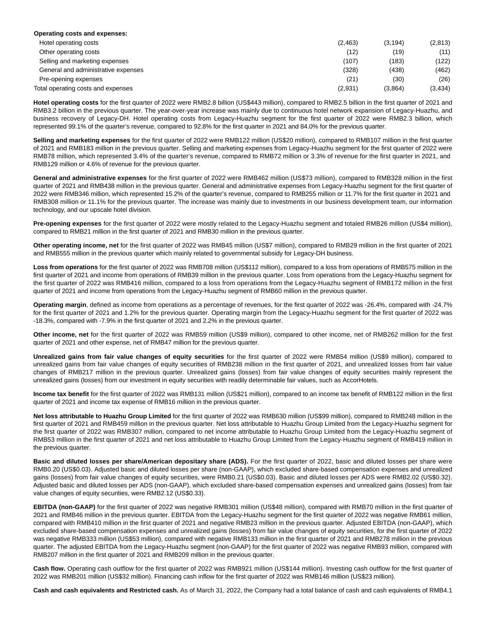| Operating costs and expenses:       |          |          |          |
|-------------------------------------|----------|----------|----------|
| Hotel operating costs               | (2, 463) | (3, 194) | (2,813)  |
| Other operating costs               | (12)     | (19)     | (11)     |
| Selling and marketing expenses      | (107)    | (183)    | (122)    |
| General and administrative expenses | (328)    | (438)    | (462)    |
| Pre-opening expenses                | (21)     | (30)     | (26)     |
| Total operating costs and expenses  | (2,931)  | (3,864)  | (3, 434) |

**Hotel operating costs** for the first quarter of 2022 were RMB2.8 billion (US\$443 million), compared to RMB2.5 billion in the first quarter of 2021 and RMB3.2 billion in the previous quarter. The year-over-year increase was mainly due to continuous hotel network expansion of Legacy-Huazhu, and business recovery of Legacy-DH. Hotel operating costs from Legacy-Huazhu segment for the first quarter of 2022 were RMB2.3 billion, which represented 99.1% of the quarter's revenue, compared to 92.8% for the first quarter in 2021 and 84.0% for the previous quarter.

**Selling and marketing expenses** for the first quarter of 2022 were RMB122 million (US\$20 million), compared to RMB107 million in the first quarter of 2021 and RMB183 million in the previous quarter. Selling and marketing expenses from Legacy-Huazhu segment for the first quarter of 2022 were RMB78 million, which represented 3.4% of the quarter's revenue, compared to RMB72 million or 3.3% of revenue for the first quarter in 2021, and RMB129 million or 4.6% of revenue for the previous quarter.

**General and administrative expenses** for the first quarter of 2022 were RMB462 million (US\$73 million), compared to RMB328 million in the first quarter of 2021 and RMB438 million in the previous quarter. General and administrative expenses from Legacy-Huazhu segment for the first quarter of 2022 were RMB346 million, which represented 15.2% of the quarter's revenue, compared to RMB255 million or 11.7% for the first quarter in 2021 and RMB308 million or 11.1% for the previous quarter. The increase was mainly due to investments in our business development team, our information technology, and our upscale hotel division.

**Pre-opening expenses** for the first quarter of 2022 were mostly related to the Legacy-Huazhu segment and totaled RMB26 million (US\$4 million), compared to RMB21 million in the first quarter of 2021 and RMB30 million in the previous quarter.

**Other operating income, net** for the first quarter of 2022 was RMB45 million (US\$7 million), compared to RMB29 million in the first quarter of 2021 and RMB555 million in the previous quarter which mainly related to governmental subsidy for Legacy-DH business.

**Loss from operations** for the first quarter of 2022 was RMB708 million (US\$112 million), compared to a loss from operations of RMB575 million in the first quarter of 2021 and income from operations of RMB39 million in the previous quarter. Loss from operations from the Legacy-Huazhu segment for the first quarter of 2022 was RMB416 million, compared to a loss from operations from the Legacy-Huazhu segment of RMB172 million in the first quarter of 2021 and income from operations from the Legacy-Huazhu segment of RMB60 million in the previous quarter.

**Operating margin**, defined as income from operations as a percentage of revenues, for the first quarter of 2022 was -26.4%, compared with -24.7% for the first quarter of 2021 and 1.2% for the previous quarter. Operating margin from the Legacy-Huazhu segment for the first quarter of 2022 was -18.3%, compared with -7.9% in the first quarter of 2021 and 2.2% in the previous quarter.

**Other income, net** for the first quarter of 2022 was RMB59 million (US\$9 million), compared to other income, net of RMB262 million for the first quarter of 2021 and other expense, net of RMB47 million for the previous quarter.

**Unrealized gains from fair value changes of equity securities** for the first quarter of 2022 were RMB54 million (US\$9 million), compared to unrealized gains from fair value changes of equity securities of RMB238 million in the first quarter of 2021, and unrealized losses from fair value changes of RMB217 million in the previous quarter. Unrealized gains (losses) from fair value changes of equity securities mainly represent the unrealized gains (losses) from our investment in equity securities with readily determinable fair values, such as AccorHotels.

**Income tax benefit** for the first quarter of 2022 was RMB131 million (US\$21 million), compared to an income tax benefit of RMB122 million in the first quarter of 2021 and income tax expense of RMB16 million in the previous quarter.

**Net loss attributable to Huazhu Group Limited** for the first quarter of 2022 was RMB630 million (US\$99 million), compared to RMB248 million in the first quarter of 2021 and RMB459 million in the previous quarter. Net loss attributable to Huazhu Group Limited from the Legacy-Huazhu segment for the first quarter of 2022 was RMB307 million, compared to net income attributable to Huazhu Group Limited from the Legacy-Huazhu segment of RMB53 million in the first quarter of 2021 and net loss attributable to Huazhu Group Limited from the Legacy-Huazhu segment of RMB419 million in the previous quarter.

**Basic and diluted losses per share/American depositary share (ADS).** For the first quarter of 2022, basic and diluted losses per share were RMB0.20 (US\$0.03). Adjusted basic and diluted losses per share (non-GAAP), which excluded share-based compensation expenses and unrealized gains (losses) from fair value changes of equity securities, were RMB0.21 (US\$0.03). Basic and diluted losses per ADS were RMB2.02 (US\$0.32). Adjusted basic and diluted losses per ADS (non-GAAP), which excluded share-based compensation expenses and unrealized gains (losses) from fair value changes of equity securities, were RMB2.12 (US\$0.33).

**EBITDA (non-GAAP)** for the first quarter of 2022 was negative RMB301 million (US\$48 million), compared with RMB70 million in the first quarter of 2021 and RMB46 million in the previous quarter. EBITDA from the Legacy-Huazhu segment for the first quarter of 2022 was negative RMB61 million, compared with RMB410 million in the first quarter of 2021 and negative RMB23 million in the previous quarter. Adjusted EBITDA (non-GAAP), which excluded share-based compensation expenses and unrealized gains (losses) from fair value changes of equity securities, for the first quarter of 2022 was negative RMB333 million (US\$53 million), compared with negative RMB133 million in the first quarter of 2021 and RMB278 million in the previous quarter. The adjusted EBITDA from the Legacy-Huazhu segment (non-GAAP) for the first quarter of 2022 was negative RMB93 million, compared with RMB207 million in the first quarter of 2021 and RMB209 million in the previous quarter.

**Cash flow.** Operating cash outflow for the first quarter of 2022 was RMB921 million (US\$144 million). Investing cash outflow for the first quarter of 2022 was RMB201 million (US\$32 million). Financing cash inflow for the first quarter of 2022 was RMB146 million (US\$23 million).

**Cash and cash equivalents and Restricted cash.** As of March 31, 2022, the Company had a total balance of cash and cash equivalents of RMB4.1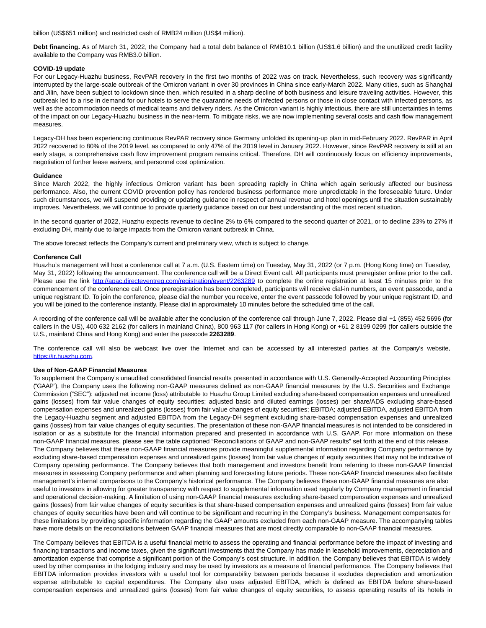billion (US\$651 million) and restricted cash of RMB24 million (US\$4 million).

**Debt financing.** As of March 31, 2022, the Company had a total debt balance of RMB10.1 billion (US\$1.6 billion) and the unutilized credit facility available to the Company was RMB3.0 billion.

#### **COVID-19 update**

For our Legacy-Huazhu business, RevPAR recovery in the first two months of 2022 was on track. Nevertheless, such recovery was significantly interrupted by the large-scale outbreak of the Omicron variant in over 30 provinces in China since early-March 2022. Many cities, such as Shanghai and Jilin, have been subject to lockdown since then, which resulted in a sharp decline of both business and leisure traveling activities. However, this outbreak led to a rise in demand for our hotels to serve the quarantine needs of infected persons or those in close contact with infected persons, as well as the accommodation needs of medical teams and delivery riders. As the Omicron variant is highly infectious, there are still uncertainties in terms of the impact on our Legacy-Huazhu business in the near-term. To mitigate risks, we are now implementing several costs and cash flow management measures.

Legacy-DH has been experiencing continuous RevPAR recovery since Germany unfolded its opening-up plan in mid-February 2022. RevPAR in April 2022 recovered to 80% of the 2019 level, as compared to only 47% of the 2019 level in January 2022. However, since RevPAR recovery is still at an early stage, a comprehensive cash flow improvement program remains critical. Therefore, DH will continuously focus on efficiency improvements, negotiation of further lease waivers, and personnel cost optimization.

#### **Guidance**

Since March 2022, the highly infectious Omicron variant has been spreading rapidly in China which again seriously affected our business performance. Also, the current COVID prevention policy has rendered business performance more unpredictable in the foreseeable future. Under such circumstances, we will suspend providing or updating guidance in respect of annual revenue and hotel openings until the situation sustainably improves. Nevertheless, we will continue to provide quarterly guidance based on our best understanding of the most recent situation.

In the second quarter of 2022, Huazhu expects revenue to decline 2% to 6% compared to the second quarter of 2021, or to decline 23% to 27% if excluding DH, mainly due to large impacts from the Omicron variant outbreak in China.

The above forecast reflects the Company's current and preliminary view, which is subject to change.

#### **Conference Call**

Huazhu's management will host a conference call at 7 a.m. (U.S. Eastern time) on Tuesday, May 31, 2022 (or 7 p.m. (Hong Kong time) on Tuesday, May 31, 2022) following the announcement. The conference call will be a Direct Event call. All participants must preregister online prior to the call. Please use the link [http://apac.directeventreg.com/registration/event/2263289](https://www.globenewswire.com/Tracker?data=99ZF6G1R2tKLbqv84GXDq3BYOI_Ezwucfyxh-7m3itVmUHeRHh0U0djvkA5Gx5MjTU99dK_P25QeaBJnDYt-bzsyp_tqPSeNmTInNGjFQ9tTOKrDYXPVHa1_7J9IUA3BBUzcN0Fj3IkhMtnGTXue3jd8wyQVW6C-Fj3Dcy69icMLiqmUTjybziwQWRU-IKZn) to complete the online registration at least 15 minutes prior to the commencement of the conference call. Once preregistration has been completed, participants will receive dial-in numbers, an event passcode, and a unique registrant ID. To join the conference, please dial the number you receive, enter the event passcode followed by your unique registrant ID, and you will be joined to the conference instantly. Please dial in approximately 10 minutes before the scheduled time of the call.

A recording of the conference call will be available after the conclusion of the conference call through June 7, 2022. Please dial +1 (855) 452 5696 (for callers in the US), 400 632 2162 (for callers in mainland China), 800 963 117 (for callers in Hong Kong) or +61 2 8199 0299 (for callers outside the U.S., mainland China and Hong Kong) and enter the passcode **2263289**.

The conference call will also be webcast live over the Internet and can be accessed by all interested parties at the Company's website, [https://ir.huazhu.com.](https://www.globenewswire.com/Tracker?data=tnvL-5acA_Od9NwATdjkJT5ziafV80BQdhmG1vFeNmg88AEdchlxuGXeOripm5H2IGkUwHaE6GdSKnZoZIVv4kS6tp6koFJrovb6fDLcEo8=)

#### **Use of Non-GAAP Financial Measures**

To supplement the Company's unaudited consolidated financial results presented in accordance with U.S. Generally-Accepted Accounting Principles ("GAAP"), the Company uses the following non-GAAP measures defined as non-GAAP financial measures by the U.S. Securities and Exchange Commission ("SEC"): adjusted net income (loss) attributable to Huazhu Group Limited excluding share-based compensation expenses and unrealized gains (losses) from fair value changes of equity securities; adjusted basic and diluted earnings (losses) per share/ADS excluding share-based compensation expenses and unrealized gains (losses) from fair value changes of equity securities; EBITDA; adjusted EBITDA, adjusted EBITDA from the Legacy-Huazhu segment and adjusted EBITDA from the Legacy-DH segment excluding share-based compensation expenses and unrealized gains (losses) from fair value changes of equity securities. The presentation of these non-GAAP financial measures is not intended to be considered in isolation or as a substitute for the financial information prepared and presented in accordance with U.S. GAAP. For more information on these non-GAAP financial measures, please see the table captioned "Reconciliations of GAAP and non-GAAP results" set forth at the end of this release. The Company believes that these non-GAAP financial measures provide meaningful supplemental information regarding Company performance by excluding share-based compensation expenses and unrealized gains (losses) from fair value changes of equity securities that may not be indicative of Company operating performance. The Company believes that both management and investors benefit from referring to these non-GAAP financial measures in assessing Company performance and when planning and forecasting future periods. These non-GAAP financial measures also facilitate management's internal comparisons to the Company's historical performance. The Company believes these non-GAAP financial measures are also useful to investors in allowing for greater transparency with respect to supplemental information used regularly by Company management in financial and operational decision-making. A limitation of using non-GAAP financial measures excluding share-based compensation expenses and unrealized gains (losses) from fair value changes of equity securities is that share-based compensation expenses and unrealized gains (losses) from fair value changes of equity securities have been and will continue to be significant and recurring in the Company's business. Management compensates for these limitations by providing specific information regarding the GAAP amounts excluded from each non-GAAP measure. The accompanying tables have more details on the reconciliations between GAAP financial measures that are most directly comparable to non-GAAP financial measures.

The Company believes that EBITDA is a useful financial metric to assess the operating and financial performance before the impact of investing and financing transactions and income taxes, given the significant investments that the Company has made in leasehold improvements, depreciation and amortization expense that comprise a significant portion of the Company's cost structure. In addition, the Company believes that EBITDA is widely used by other companies in the lodging industry and may be used by investors as a measure of financial performance. The Company believes that EBITDA information provides investors with a useful tool for comparability between periods because it excludes depreciation and amortization expense attributable to capital expenditures. The Company also uses adjusted EBITDA, which is defined as EBITDA before share-based compensation expenses and unrealized gains (losses) from fair value changes of equity securities, to assess operating results of its hotels in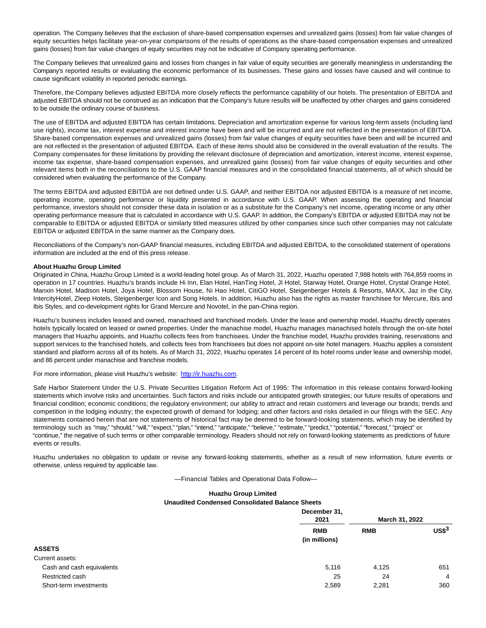operation. The Company believes that the exclusion of share-based compensation expenses and unrealized gains (losses) from fair value changes of equity securities helps facilitate year-on-year comparisons of the results of operations as the share-based compensation expenses and unrealized gains (losses) from fair value changes of equity securities may not be indicative of Company operating performance.

The Company believes that unrealized gains and losses from changes in fair value of equity securities are generally meaningless in understanding the Company's reported results or evaluating the economic performance of its businesses. These gains and losses have caused and will continue to cause significant volatility in reported periodic earnings.

Therefore, the Company believes adjusted EBITDA more closely reflects the performance capability of our hotels. The presentation of EBITDA and adjusted EBITDA should not be construed as an indication that the Company's future results will be unaffected by other charges and gains considered to be outside the ordinary course of business.

The use of EBITDA and adjusted EBITDA has certain limitations. Depreciation and amortization expense for various long-term assets (including land use rights), income tax, interest expense and interest income have been and will be incurred and are not reflected in the presentation of EBITDA. Share-based compensation expenses and unrealized gains (losses) from fair value changes of equity securities have been and will be incurred and are not reflected in the presentation of adjusted EBITDA. Each of these items should also be considered in the overall evaluation of the results. The Company compensates for these limitations by providing the relevant disclosure of depreciation and amortization, interest income, interest expense, income tax expense, share-based compensation expenses, and unrealized gains (losses) from fair value changes of equity securities and other relevant items both in the reconciliations to the U.S. GAAP financial measures and in the consolidated financial statements, all of which should be considered when evaluating the performance of the Company.

The terms EBITDA and adjusted EBITDA are not defined under U.S. GAAP, and neither EBITDA nor adjusted EBITDA is a measure of net income, operating income, operating performance or liquidity presented in accordance with U.S. GAAP. When assessing the operating and financial performance, investors should not consider these data in isolation or as a substitute for the Company's net income, operating income or any other operating performance measure that is calculated in accordance with U.S. GAAP. In addition, the Company's EBITDA or adjusted EBITDA may not be comparable to EBITDA or adjusted EBITDA or similarly titled measures utilized by other companies since such other companies may not calculate EBITDA or adjusted EBITDA in the same manner as the Company does.

Reconciliations of the Company's non-GAAP financial measures, including EBITDA and adjusted EBITDA, to the consolidated statement of operations information are included at the end of this press release.

#### **About Huazhu Group Limited**

Originated in China, Huazhu Group Limited is a world-leading hotel group. As of March 31, 2022, Huazhu operated 7,988 hotels with 764,859 rooms in operation in 17 countries. Huazhu's brands include Hi Inn, Elan Hotel, HanTing Hotel, JI Hotel, Starway Hotel, Orange Hotel, Crystal Orange Hotel, Manxin Hotel, Madison Hotel, Joya Hotel, Blossom House, Ni Hao Hotel, CitiGO Hotel, Steigenberger Hotels & Resorts, MAXX, Jaz in the City, IntercityHotel, Zleep Hotels, Steigenberger Icon and Song Hotels. In addition, Huazhu also has the rights as master franchisee for Mercure, Ibis and Ibis Styles, and co-development rights for Grand Mercure and Novotel, in the pan-China region.

Huazhu's business includes leased and owned, manachised and franchised models. Under the lease and ownership model, Huazhu directly operates hotels typically located on leased or owned properties. Under the manachise model, Huazhu manages manachised hotels through the on-site hotel managers that Huazhu appoints, and Huazhu collects fees from franchisees. Under the franchise model, Huazhu provides training, reservations and support services to the franchised hotels, and collects fees from franchisees but does not appoint on-site hotel managers. Huazhu applies a consistent standard and platform across all of its hotels. As of March 31, 2022, Huazhu operates 14 percent of its hotel rooms under lease and ownership model, and 86 percent under manachise and franchise models.

For more information, please visit Huazhu's website: [http://ir.huazhu.com.](https://www.globenewswire.com/Tracker?data=99ZF6G1R2tKLbqv84GXDq5pJPrI2jTNqB8TZX8ySVVQgKhFaHW0pnSKCrrDDxoOTL49Oe1yIi4r0HFZ_AX4CeA==)

Safe Harbor Statement Under the U.S. Private Securities Litigation Reform Act of 1995: The information in this release contains forward-looking statements which involve risks and uncertainties. Such factors and risks include our anticipated growth strategies; our future results of operations and financial condition; economic conditions; the regulatory environment; our ability to attract and retain customers and leverage our brands; trends and competition in the lodging industry; the expected growth of demand for lodging; and other factors and risks detailed in our filings with the SEC. Any statements contained herein that are not statements of historical fact may be deemed to be forward-looking statements, which may be identified by terminology such as "may," "should," "will," "expect," "plan," "intend," "anticipate," "believe," "estimate," "predict," "potential," "forecast," "project" or "continue," the negative of such terms or other comparable terminology. Readers should not rely on forward-looking statements as predictions of future events or results.

Huazhu undertakes no obligation to update or revise any forward-looking statements, whether as a result of new information, future events or otherwise, unless required by applicable law.

—Financial Tables and Operational Data Follow—

## **Huazhu Group Limited**

### **Unaudited Condensed Consolidated Balance Sheets**

|                           | December 31,                |                |                |
|---------------------------|-----------------------------|----------------|----------------|
|                           | 2021                        | March 31, 2022 |                |
|                           | <b>RMB</b><br>(in millions) | <b>RMB</b>     | $US$^{3}$      |
| <b>ASSETS</b>             |                             |                |                |
| Current assets:           |                             |                |                |
| Cash and cash equivalents | 5,116                       | 4.125          | 651            |
| Restricted cash           | 25                          | 24             | $\overline{4}$ |
| Short-term investments    | 2,589                       | 2,281          | 360            |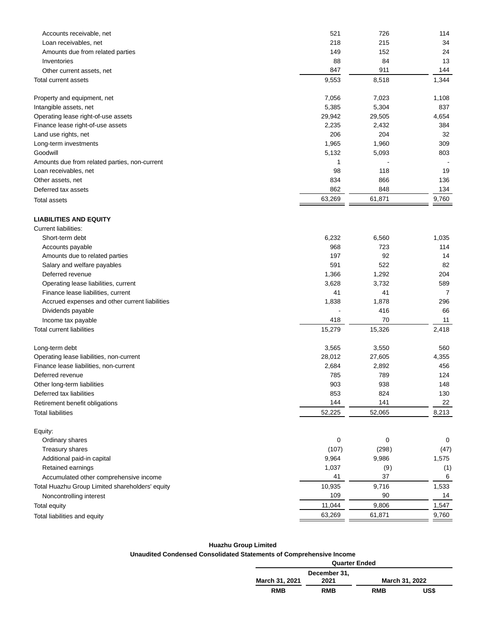| Accounts receivable, net                        | 521       | 726       | 114       |
|-------------------------------------------------|-----------|-----------|-----------|
| Loan receivables, net                           | 218       | 215       | 34        |
| Amounts due from related parties                | 149       | 152       | 24        |
| Inventories                                     | 88<br>847 | 84<br>911 | 13<br>144 |
| Other current assets, net                       |           |           |           |
| <b>Total current assets</b>                     | 9,553     | 8,518     | 1,344     |
| Property and equipment, net                     | 7,056     | 7,023     | 1,108     |
| Intangible assets, net                          | 5,385     | 5,304     | 837       |
| Operating lease right-of-use assets             | 29,942    | 29,505    | 4,654     |
| Finance lease right-of-use assets               | 2,235     | 2,432     | 384       |
| Land use rights, net                            | 206       | 204       | 32        |
| Long-term investments                           | 1,965     | 1,960     | 309       |
| Goodwill                                        | 5,132     | 5,093     | 803       |
| Amounts due from related parties, non-current   | 1         |           |           |
| Loan receivables, net                           | 98        | 118       | 19        |
| Other assets, net                               | 834       | 866       | 136       |
| Deferred tax assets                             | 862       | 848       | 134       |
| <b>Total assets</b>                             | 63,269    | 61,871    | 9,760     |
| <b>LIABILITIES AND EQUITY</b>                   |           |           |           |
| Current liabilities:                            |           |           |           |
| Short-term debt                                 | 6,232     | 6,560     | 1,035     |
| Accounts payable                                | 968       | 723       | 114       |
| Amounts due to related parties                  | 197       | 92        | 14        |
| Salary and welfare payables                     | 591       | 522       | 82        |
| Deferred revenue                                | 1,366     | 1,292     | 204       |
| Operating lease liabilities, current            | 3,628     | 3,732     | 589       |
| Finance lease liabilities, current              | 41        | 41        | 7         |
| Accrued expenses and other current liabilities  | 1,838     | 1,878     | 296       |
|                                                 |           | 416       | 66        |
| Dividends payable                               | 418       | 70        | 11        |
| Income tax payable                              |           |           |           |
| <b>Total current liabilities</b>                | 15,279    | 15,326    | 2,418     |
| Long-term debt                                  | 3,565     | 3,550     | 560       |
| Operating lease liabilities, non-current        | 28,012    | 27,605    | 4,355     |
| Finance lease liabilities, non-current          | 2,684     | 2,892     | 456       |
| Deferred revenue                                | 785       | 789       | 124       |
| Other long-term liabilities                     | 903       | 938       | 148       |
| Deferred tax liabilities                        | 853       | 824       | 130       |
| Retirement benefit obligations                  | 144       | 141       | 22        |
| <b>Total liabilities</b>                        | 52,225    | 52,065    | 8,213     |
| Equity:                                         |           |           |           |
| Ordinary shares                                 | 0         | 0         | 0         |
| Treasury shares                                 | (107)     | (298)     | (47)      |
| Additional paid-in capital                      | 9,964     | 9,986     | 1,575     |
| Retained earnings                               | 1,037     | (9)       | (1)       |
| Accumulated other comprehensive income          | 41        | 37        | 6         |
| Total Huazhu Group Limited shareholders' equity | 10,935    | 9,716     | 1,533     |
| Noncontrolling interest                         | 109       | 90        | 14        |
| Total equity                                    | 11,044    | 9,806     | 1,547     |
| Total liabilities and equity                    | 63,269    | 61,871    | 9,760     |
|                                                 |           |           |           |

# **Huazhu Group Limited**

# **Unaudited Condensed Consolidated Statements of Comprehensive Income**

| ements or comprenensive income |              |                |      |  |  |  |  |
|--------------------------------|--------------|----------------|------|--|--|--|--|
| <b>Quarter Ended</b>           |              |                |      |  |  |  |  |
|                                | December 31. |                |      |  |  |  |  |
| March 31, 2021                 | 2021         | March 31, 2022 |      |  |  |  |  |
| <b>RMB</b>                     | <b>RMB</b>   | <b>RMB</b>     | US\$ |  |  |  |  |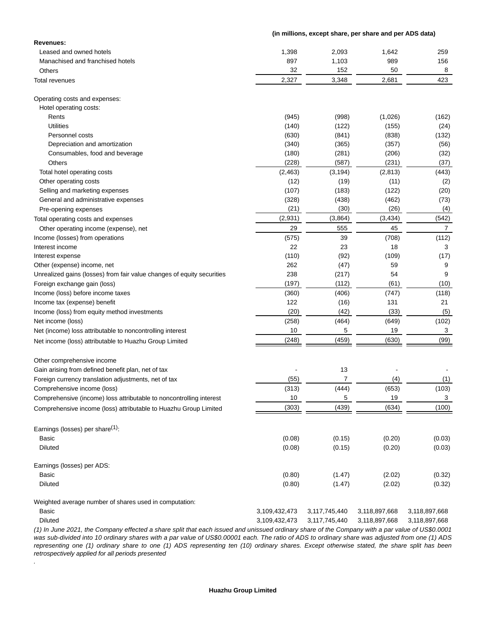### **(in millions, except share, per share and per ADS data)**

| Revenues:                                                                                                                                       |                  |                  |                  |                  |
|-------------------------------------------------------------------------------------------------------------------------------------------------|------------------|------------------|------------------|------------------|
| Leased and owned hotels                                                                                                                         | 1,398            | 2,093            | 1,642            | 259              |
| Manachised and franchised hotels                                                                                                                | 897              | 1,103            | 989              | 156              |
| Others                                                                                                                                          | 32               | 152              | 50               | 8                |
| Total revenues                                                                                                                                  | 2,327            | 3,348            | 2,681            | 423              |
| Operating costs and expenses:                                                                                                                   |                  |                  |                  |                  |
| Hotel operating costs:                                                                                                                          |                  |                  |                  |                  |
| Rents                                                                                                                                           | (945)            | (998)            | (1,026)          | (162)            |
| Utilities                                                                                                                                       | (140)            | (122)            | (155)            | (24)             |
| Personnel costs                                                                                                                                 | (630)            | (841)            | (838)            | (132)            |
| Depreciation and amortization                                                                                                                   | (340)            | (365)            | (357)            | (56)             |
| Consumables, food and beverage                                                                                                                  | (180)            | (281)            | (206)            | (32)             |
| Others                                                                                                                                          | (228)            | (587)            | (231)            | (37)             |
| Total hotel operating costs                                                                                                                     | (2, 463)         | (3, 194)         | (2, 813)         | (443)            |
| Other operating costs                                                                                                                           | (12)             | (19)             | (11)             | (2)              |
| Selling and marketing expenses                                                                                                                  | (107)            | (183)            | (122)            | (20)             |
| General and administrative expenses                                                                                                             | (328)            | (438)            | (462)            | (73)             |
| Pre-opening expenses                                                                                                                            | (21)             | (30)             | (26)             | (4)              |
| Total operating costs and expenses                                                                                                              | (2,931)          | (3,864)          | (3, 434)         | (542)            |
| Other operating income (expense), net                                                                                                           | 29               | 555              | 45               | 7                |
| Income (losses) from operations                                                                                                                 | (575)            | 39               | (708)            | (112)            |
| Interest income                                                                                                                                 | 22               | 23               | 18               | 3                |
| Interest expense                                                                                                                                | (110)            | (92)             | (109)            | (17)             |
| Other (expense) income, net                                                                                                                     | 262              | (47)             | 59               | 9                |
| Unrealized gains (losses) from fair value changes of equity securities                                                                          | 238              | (217)            | 54               | 9                |
| Foreign exchange gain (loss)                                                                                                                    | (197)            | (112)            | (61)             | (10)             |
| Income (loss) before income taxes                                                                                                               | (360)            | (406)            | (747)            | (118)            |
| Income tax (expense) benefit                                                                                                                    | 122              | (16)             | 131              | 21               |
| Income (loss) from equity method investments                                                                                                    | (20)             | (42)             | (33)             | (5)              |
| Net income (loss)                                                                                                                               | (258)            | (464)            | (649)            | (102)            |
| Net (income) loss attributable to noncontrolling interest                                                                                       | 10               | 5                | 19               | 3                |
| Net income (loss) attributable to Huazhu Group Limited                                                                                          | (248)            | (459)            | (630)            | (99)             |
| Other comprehensive income                                                                                                                      |                  |                  |                  |                  |
| Gain arising from defined benefit plan, net of tax                                                                                              |                  | 13               |                  |                  |
| Foreign currency translation adjustments, net of tax                                                                                            | (55)             | 7                | (4)              | (1)              |
| Comprehensive income (loss)                                                                                                                     | (313)            | (444)            | (653)            | (103)            |
| Comprehensive (income) loss attributable to noncontrolling interest                                                                             | 10               | 5                | 19               | 3                |
| Comprehensive income (loss) attributable to Huazhu Group Limited                                                                                | (303)            | (439)            | (634)            | (100)            |
|                                                                                                                                                 |                  |                  |                  |                  |
| Earnings (losses) per share <sup>(1)</sup> :                                                                                                    |                  |                  |                  |                  |
| Basic<br><b>Diluted</b>                                                                                                                         | (0.08)<br>(0.08) | (0.15)<br>(0.15) | (0.20)<br>(0.20) | (0.03)<br>(0.03) |
| Earnings (losses) per ADS:                                                                                                                      |                  |                  |                  |                  |
| Basic                                                                                                                                           | (0.80)           | (1.47)           | (2.02)           | (0.32)           |
| Diluted                                                                                                                                         | (0.80)           | (1.47)           | (2.02)           | (0.32)           |
| Weighted average number of shares used in computation:                                                                                          |                  |                  |                  |                  |
| Basic                                                                                                                                           | 3,109,432,473    | 3,117,745,440    | 3,118,897,668    | 3,118,897,668    |
| <b>Diluted</b>                                                                                                                                  | 3,109,432,473    | 3,117,745,440    | 3,118,897,668    | 3,118,897,668    |
| (1) In June 2021, the Company effected a share split that each issued and unissued ordinary share of the Company with a par value of US\$0,0001 |                  |                  |                  |                  |

(1) In June 2021, the Company effected a share split that each issued and unissued ordinary share of the Company with a par value of US\$0.0001 was sub-divided into 10 ordinary shares with a par value of US\$0.00001 each. The ratio of ADS to ordinary share was adjusted from one (1) ADS representing one (1) ordinary share to one (1) ADS representing ten (10) ordinary shares. Except otherwise stated, the share split has been retrospectively applied for all periods presented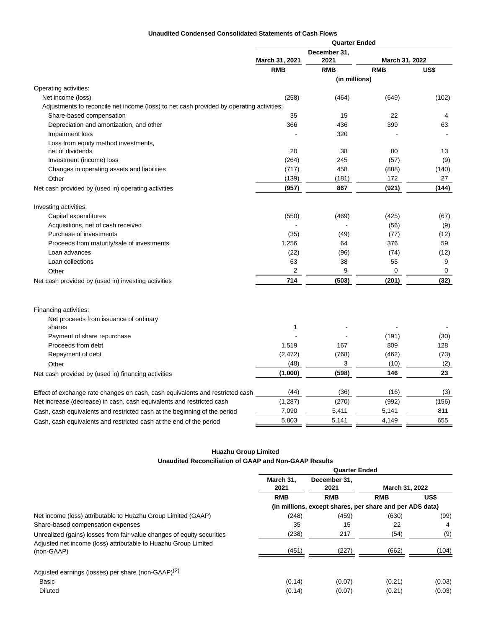## **Unaudited Condensed Consolidated Statements of Cash Flows**

|                                                                                          |                | <b>Quarter Ended</b> |                |             |  |
|------------------------------------------------------------------------------------------|----------------|----------------------|----------------|-------------|--|
|                                                                                          |                | December 31,         |                |             |  |
|                                                                                          | March 31, 2021 | 2021                 | March 31, 2022 |             |  |
|                                                                                          | <b>RMB</b>     | <b>RMB</b>           | <b>RMB</b>     | US\$        |  |
|                                                                                          |                | (in millions)        |                |             |  |
| Operating activities:                                                                    |                |                      |                |             |  |
| Net income (loss)                                                                        | (258)          | (464)                | (649)          | (102)       |  |
| Adjustments to reconcile net income (loss) to net cash provided by operating activities: |                |                      |                |             |  |
| Share-based compensation                                                                 | 35             | 15                   | 22             | 4           |  |
| Depreciation and amortization, and other                                                 | 366            | 436                  | 399            | 63          |  |
| Impairment loss                                                                          |                | 320                  |                |             |  |
| Loss from equity method investments,<br>net of dividends                                 | 20             | 38                   |                |             |  |
|                                                                                          |                | 245                  | 80             | 13<br>(9)   |  |
| Investment (income) loss                                                                 | (264)<br>(717) | 458                  | (57)           |             |  |
| Changes in operating assets and liabilities                                              | (139)          | (181)                | (888)<br>172   | (140)<br>27 |  |
| Other                                                                                    |                |                      | (921)          |             |  |
| Net cash provided by (used in) operating activities                                      | (957)          | 867                  |                | (144)       |  |
| Investing activities:                                                                    |                |                      |                |             |  |
| Capital expenditures                                                                     | (550)          | (469)                | (425)          | (67)        |  |
| Acquisitions, net of cash received                                                       |                |                      | (56)           | (9)         |  |
| Purchase of investments                                                                  | (35)           | (49)                 | (77)           | (12)        |  |
| Proceeds from maturity/sale of investments                                               | 1,256          | 64                   | 376            | 59          |  |
| Loan advances                                                                            | (22)           | (96)                 | (74)           | (12)        |  |
| Loan collections                                                                         | 63             | 38                   | 55             | 9           |  |
| Other                                                                                    | 2              | 9                    | 0              | 0           |  |
| Net cash provided by (used in) investing activities                                      | 714            | (503)                | (201)          | (32)        |  |
|                                                                                          |                |                      |                |             |  |
| Financing activities:                                                                    |                |                      |                |             |  |
| Net proceeds from issuance of ordinary                                                   |                |                      |                |             |  |
| shares                                                                                   | 1              |                      |                |             |  |
| Payment of share repurchase                                                              |                |                      | (191)          | (30)        |  |
| Proceeds from debt                                                                       | 1,519          | 167                  | 809            | 128         |  |
| Repayment of debt                                                                        | (2, 472)       | (768)                | (462)          | (73)        |  |
| Other                                                                                    | (48)           | 3                    | (10)           | (2)         |  |
| Net cash provided by (used in) financing activities                                      | (1,000)        | (598)                | 146            | 23          |  |
| Effect of exchange rate changes on cash, cash equivalents and restricted cash            | (44)           | (36)                 | (16)           | (3)         |  |
| Net increase (decrease) in cash, cash equivalents and restricted cash                    | (1, 287)       | (270)                | (992)          | (156)       |  |
| Cash, cash equivalents and restricted cash at the beginning of the period                | 7,090          | 5,411                | 5,141          | 811         |  |
| Cash, cash equivalents and restricted cash at the end of the period                      | 5,803          | 5,141                | 4,149          | 655         |  |
|                                                                                          |                |                      |                |             |  |

# **Huazhu Group Limited Unaudited Reconciliation of GAAP and Non-GAAP Results**

|                                                                               | <b>Quarter Ended</b> |                                                          |                |        |  |
|-------------------------------------------------------------------------------|----------------------|----------------------------------------------------------|----------------|--------|--|
|                                                                               | March 31.<br>2021    | December 31,<br>2021                                     | March 31, 2022 |        |  |
|                                                                               | <b>RMB</b>           | <b>RMB</b>                                               | <b>RMB</b>     | US\$   |  |
|                                                                               |                      | (in millions, except shares, per share and per ADS data) |                |        |  |
| Net income (loss) attributable to Huazhu Group Limited (GAAP)                 | (248)                | (459)                                                    | (630)          | (99)   |  |
| Share-based compensation expenses                                             | 35                   | 15                                                       | 22             | 4      |  |
| Unrealized (gains) losses from fair value changes of equity securities        | (238)                | 217                                                      | (54)           | (9)    |  |
| Adjusted net income (loss) attributable to Huazhu Group Limited<br>(non-GAAP) | (451)                | (227)                                                    | (662)          | (104)  |  |
| Adjusted earnings (losses) per share (non-GAAP) <sup>(2)</sup>                |                      |                                                          |                |        |  |
| Basic                                                                         | (0.14)               | (0.07)                                                   | (0.21)         | (0.03) |  |
| <b>Diluted</b>                                                                | (0.14)               | (0.07)                                                   | (0.21)         | (0.03) |  |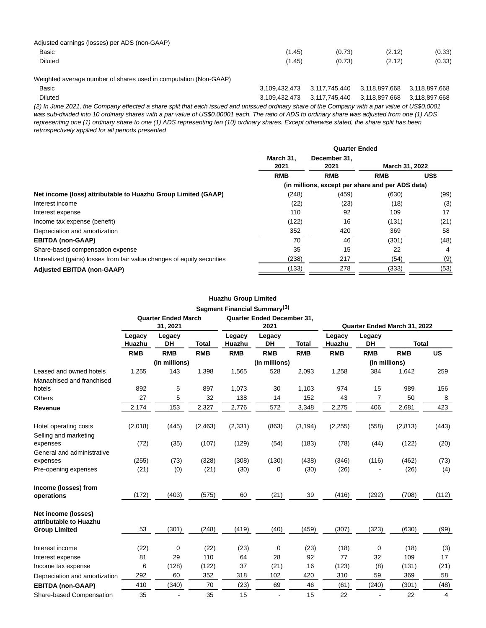| Adjusted earnings (losses) per ADS (non-GAAP) |        |        |        |        |
|-----------------------------------------------|--------|--------|--------|--------|
| Basic                                         | (1.45) | (0.73) | (2.12) | (0.33) |
| Diluted                                       | (1.45) | (0.73) | (2.12) | (0.33) |

Weighted average number of shares used in computation (Non-GAAP)

| Basic          | 3,109,432,473  3,117,745,440  3,118,897,668  3,118,897,668 |  |
|----------------|------------------------------------------------------------|--|
| <b>Diluted</b> | 3,109,432,473  3,117,745,440  3,118,897,668  3,118,897,668 |  |

(2) In June 2021, the Company effected a share split that each issued and unissued ordinary share of the Company with a par value of US\$0.0001 was sub-divided into 10 ordinary shares with a par value of US\$0.00001 each. The ratio of ADS to ordinary share was adjusted from one (1) ADS representing one (1) ordinary share to one (1) ADS representing ten (10) ordinary shares. Except otherwise stated, the share split has been retrospectively applied for all periods presented

|                                                                        | <b>Quarter Ended</b> |                                                  |                |      |  |
|------------------------------------------------------------------------|----------------------|--------------------------------------------------|----------------|------|--|
|                                                                        | March 31.<br>2021    | December 31.<br>2021                             | March 31, 2022 |      |  |
|                                                                        | <b>RMB</b>           | <b>RMB</b>                                       | <b>RMB</b>     | US\$ |  |
|                                                                        |                      | (in millions, except per share and per ADS data) |                |      |  |
| Net income (loss) attributable to Huazhu Group Limited (GAAP)          | (248)                | (459)                                            | (630)          | (99) |  |
| Interest income                                                        | (22)                 | (23)                                             | (18)           | (3)  |  |
| Interest expense                                                       | 110                  | 92                                               | 109            | 17   |  |
| Income tax expense (benefit)                                           | (122)                | 16                                               | (131)          | (21) |  |
| Depreciation and amortization                                          | 352                  | 420                                              | 369            | 58   |  |
| <b>EBITDA (non-GAAP)</b>                                               | 70                   | 46                                               | (301)          | (48) |  |
| Share-based compensation expense                                       | 35                   | 15                                               | 22             | 4    |  |
| Unrealized (gains) losses from fair value changes of equity securities | (238)                | 217                                              | (54)           | (9)  |  |
| <b>Adjusted EBITDA (non-GAAP)</b>                                      | (133)                | 278                                              | (333)          | (53) |  |

# **Huazhu Group Limited Segment Financial Summary(3)**

|                                               | <b>Quarter Ended March</b><br>31, 2021 |               |              | Quarter Ended December 31,<br>2021 |                     |              | Quarter Ended March 31, 2022 |                     |              |           |
|-----------------------------------------------|----------------------------------------|---------------|--------------|------------------------------------|---------------------|--------------|------------------------------|---------------------|--------------|-----------|
|                                               | Legacy<br>Huazhu                       | Legacy<br>DH  | <b>Total</b> | Legacy<br>Huazhu                   | Legacy<br><b>DH</b> | <b>Total</b> | Legacy<br>Huazhu             | Legacy<br><b>DH</b> | <b>Total</b> |           |
|                                               | <b>RMB</b>                             | <b>RMB</b>    | <b>RMB</b>   | <b>RMB</b>                         | <b>RMB</b>          | <b>RMB</b>   | <b>RMB</b>                   | <b>RMB</b>          | <b>RMB</b>   | <b>US</b> |
|                                               |                                        | (in millions) |              |                                    | (in millions)       |              |                              | (in millions)       |              |           |
| Leased and owned hotels                       | 1,255                                  | 143           | 1,398        | 1,565                              | 528                 | 2,093        | 1,258                        | 384                 | 1,642        | 259       |
| Manachised and franchised                     |                                        |               |              |                                    |                     |              |                              |                     |              |           |
| hotels                                        | 892                                    | 5             | 897          | 1,073                              | 30                  | 1,103        | 974                          | 15                  | 989          | 156       |
| <b>Others</b>                                 | 27                                     | 5             | 32           | 138                                | 14                  | 152          | 43                           | 7                   | 50           | 8         |
| Revenue                                       | 2,174                                  | 153           | 2,327        | 2,776                              | 572                 | 3,348        | 2,275                        | 406                 | 2,681        | 423       |
| Hotel operating costs                         | (2,018)                                | (445)         | (2, 463)     | (2, 331)                           | (863)               | (3, 194)     | (2, 255)                     | (558)               | (2,813)      | (443)     |
| Selling and marketing                         |                                        |               |              |                                    |                     |              |                              |                     |              |           |
| expenses                                      | (72)                                   | (35)          | (107)        | (129)                              | (54)                | (183)        | (78)                         | (44)                | (122)        | (20)      |
| General and administrative                    |                                        |               |              |                                    |                     |              |                              |                     |              |           |
| expenses                                      | (255)                                  | (73)          | (328)        | (308)                              | (130)               | (438)        | (346)                        | (116)               | (462)        | (73)      |
| Pre-opening expenses                          | (21)                                   | (0)           | (21)         | (30)                               | 0                   | (30)         | (26)                         |                     | (26)         | (4)       |
| Income (losses) from                          |                                        |               |              |                                    |                     |              |                              |                     |              |           |
| operations                                    | (172)                                  | (403)         | (575)        | 60                                 | (21)                | 39           | (416)                        | (292)               | (708)        | (112)     |
| Net income (losses)<br>attributable to Huazhu |                                        |               |              |                                    |                     |              |                              |                     |              |           |
| <b>Group Limited</b>                          | 53                                     | (301)         | (248)        | (419)                              | (40)                | (459)        | (307)                        | (323)               | (630)        | (99)      |
| Interest income                               | (22)                                   | 0             | (22)         | (23)                               | 0                   | (23)         | (18)                         | 0                   | (18)         | (3)       |
| Interest expense                              | 81                                     | 29            | 110          | 64                                 | 28                  | 92           | 77                           | 32                  | 109          | 17        |
| Income tax expense                            | 6                                      | (128)         | (122)        | 37                                 | (21)                | 16           | (123)                        | (8)                 | (131)        | (21)      |
| Depreciation and amortization                 | 292                                    | 60            | 352          | 318                                | 102                 | 420          | 310                          | 59                  | 369          | 58        |
| <b>EBITDA (non-GAAP)</b>                      | 410                                    | (340)         | 70           | (23)                               | 69                  | 46           | (61)                         | (240)               | (301)        | (48)      |
| Share-based Compensation                      | 35                                     |               | 35           | 15                                 |                     | 15           | 22                           |                     | 22           | 4         |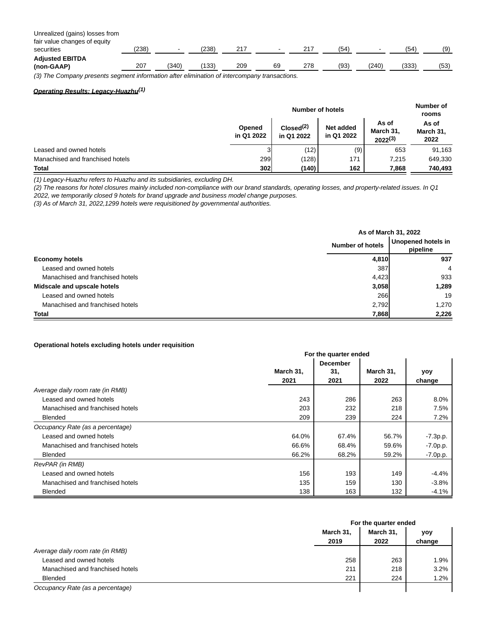Unrealized (gains) losses from

| fair value changes of equity                                                                  |       |      |      |     |        |     |      |     |       |      |
|-----------------------------------------------------------------------------------------------|-------|------|------|-----|--------|-----|------|-----|-------|------|
| securities                                                                                    | (238) |      | 238  |     | $\sim$ |     | '54  |     | (54   | (9)  |
| <b>Adjusted EBITDA</b>                                                                        |       |      |      |     |        |     |      |     |       |      |
| (non-GAAP)                                                                                    | 207   | 340) | 133. | 209 | 69     | 278 | (93) | 240 | (333) | (53) |
| 70) The Orangest care rate commentations of the characteristic of the comment of construction |       |      |      |     |        |     |      |     |       |      |

(3) The Company presents segment information after elimination of intercompany transactions.

# **Operating Results: Legacy-Huazhu(1)**

|                                  | <b>Number of hotels</b> |                                     |                         |                                    | Number of<br>rooms         |
|----------------------------------|-------------------------|-------------------------------------|-------------------------|------------------------------------|----------------------------|
|                                  | Opened<br>in Q1 2022    | Closed <sup>(2)</sup><br>in Q1 2022 | Net added<br>in Q1 2022 | As of<br>March 31,<br>$2022^{(3)}$ | As of<br>March 31,<br>2022 |
| Leased and owned hotels          |                         | (12)                                | (9)                     | 653                                | 91,163                     |
| Manachised and franchised hotels | 299                     | (128)                               | 171                     | 7.215                              | 649,330                    |
| Total                            | 302                     | (140)                               | 162                     | 7,868                              | 740,493                    |

(1) Legacy-Huazhu refers to Huazhu and its subsidiaries, excluding DH.

(2) The reasons for hotel closures mainly included non-compliance with our brand standards, operating losses, and property-related issues. In Q1 2022, we temporarily closed 9 hotels for brand upgrade and business model change purposes.

(3) As of March 31, 2022,1299 hotels were requisitioned by governmental authorities.

|                                  |                  | As of March 31, 2022           |
|----------------------------------|------------------|--------------------------------|
|                                  | Number of hotels | Unopened hotels in<br>pipeline |
| <b>Economy hotels</b>            | 4,810            | 937                            |
| Leased and owned hotels          | 387              | $\overline{4}$                 |
| Manachised and franchised hotels | 4,423            | 933                            |
| Midscale and upscale hotels      | 3,058            | 1,289                          |
| Leased and owned hotels          | 266              | 19                             |
| Manachised and franchised hotels | 2,792            | 1.270                          |
| Total                            | 7,868            | 2,226                          |

### **Operational hotels excluding hotels under requisition**

|                                  | For the quarter ended |                 |           |            |  |  |  |
|----------------------------------|-----------------------|-----------------|-----------|------------|--|--|--|
|                                  |                       | <b>December</b> |           |            |  |  |  |
|                                  | March 31,             | 31,             | March 31, | yoy        |  |  |  |
|                                  | 2021                  | 2021            | 2022      | change     |  |  |  |
| Average daily room rate (in RMB) |                       |                 |           |            |  |  |  |
| Leased and owned hotels          | 243                   | 286             | 263       | 8.0%       |  |  |  |
| Manachised and franchised hotels | 203                   | 232             | 218       | 7.5%       |  |  |  |
| <b>Blended</b>                   | 209                   | 239             | 224       | 7.2%       |  |  |  |
| Occupancy Rate (as a percentage) |                       |                 |           |            |  |  |  |
| Leased and owned hotels          | 64.0%                 | 67.4%           | 56.7%     | $-7.3p.p.$ |  |  |  |
| Manachised and franchised hotels | 66.6%                 | 68.4%           | 59.6%     | $-7.0p.p.$ |  |  |  |
| <b>Blended</b>                   | 66.2%                 | 68.2%           | 59.2%     | $-7.0p.p.$ |  |  |  |
| RevPAR (in RMB)                  |                       |                 |           |            |  |  |  |
| Leased and owned hotels          | 156                   | 193             | 149       | $-4.4%$    |  |  |  |
| Manachised and franchised hotels | 135                   | 159             | 130       | $-3.8%$    |  |  |  |
| <b>Blended</b>                   | 138                   | 163             | 132       | $-4.1%$    |  |  |  |

|                                  |           | For the quarter ended |        |  |  |
|----------------------------------|-----------|-----------------------|--------|--|--|
|                                  | March 31, | March 31,             | yoy    |  |  |
|                                  | 2019      | 2022                  | change |  |  |
| Average daily room rate (in RMB) |           |                       |        |  |  |
| Leased and owned hotels          | 258       | 263                   | 1.9%   |  |  |
| Manachised and franchised hotels | 211       | 218                   | 3.2%   |  |  |
| <b>Blended</b>                   | 221       | 224                   | 1.2%   |  |  |
| Occupancy Rate (as a percentage) |           |                       |        |  |  |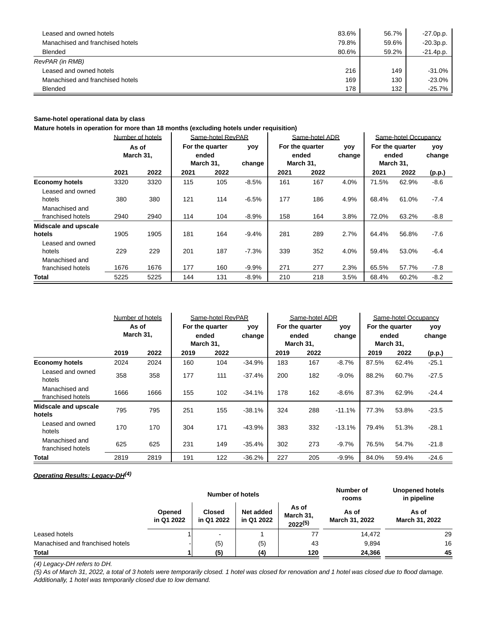| Leased and owned hotels          | 83.6% | 56.7% | $-27.0p.p.$ |
|----------------------------------|-------|-------|-------------|
| Manachised and franchised hotels | 79.8% | 59.6% | $-20.3p.p.$ |
| <b>Blended</b>                   | 80.6% | 59.2% | $-21.4p.p.$ |
| RevPAR (in RMB)                  |       |       |             |
| Leased and owned hotels          | 216   | 149   | $-31.0%$    |
| Manachised and franchised hotels | 169   | 130   | $-23.0%$    |
| <b>Blended</b>                   | 178   | 132   | $-25.7%$    |

## **Same-hotel operational data by class**

**Mature hotels in operation for more than 18 months (excluding hotels under requisition)**

|                                           |                    | Number of hotels |                                       | Same-hotel RevPAR |               |                                       | Same-hotel ADR |               |                                       | Same-hotel Occupancy |               |
|-------------------------------------------|--------------------|------------------|---------------------------------------|-------------------|---------------|---------------------------------------|----------------|---------------|---------------------------------------|----------------------|---------------|
|                                           | As of<br>March 31, |                  | For the quarter<br>ended<br>March 31, |                   | yoy<br>change | For the quarter<br>ended<br>March 31, |                | yoy<br>change | For the quarter<br>ended<br>March 31, |                      | yoy<br>change |
|                                           | 2021               | 2022             | 2021                                  | 2022              |               | 2021                                  | 2022           |               | 2021                                  | 2022                 | (p.p.)        |
| <b>Economy hotels</b><br>Leased and owned | 3320               | 3320             | 115                                   | 105               | $-8.5%$       | 161                                   | 167            | 4.0%          | 71.5%                                 | 62.9%                | $-8.6$        |
| hotels<br>Manachised and                  | 380                | 380              | 121                                   | 114               | $-6.5%$       | 177                                   | 186            | 4.9%          | 68.4%                                 | 61.0%                | $-7.4$        |
| franchised hotels                         | 2940               | 2940             | 114                                   | 104               | $-8.9%$       | 158                                   | 164            | 3.8%          | 72.0%                                 | 63.2%                | $-8.8$        |
| Midscale and upscale<br>hotels            | 1905               | 1905             | 181                                   | 164               | $-9.4%$       | 281                                   | 289            | 2.7%          | 64.4%                                 | 56.8%                | $-7.6$        |
| Leased and owned<br>hotels                | 229                | 229              | 201                                   | 187               | $-7.3%$       | 339                                   | 352            | 4.0%          | 59.4%                                 | 53.0%                | $-6.4$        |
| Manachised and<br>franchised hotels       | 1676               | 1676             | 177                                   | 160               | $-9.9%$       | 271                                   | 277            | 2.3%          | 65.5%                                 | 57.7%                | $-7.8$        |
| Total                                     | 5225               | 5225             | 144                                   | 131               | $-8.9%$       | 210                                   | 218            | 3.5%          | 68.4%                                 | 60.2%                | $-8.2$        |

|                                     | Number of hotels   |      | Same-hotel RevPAR |      |          | Same-hotel ADR                        |               |          | Same-hotel Occupancy                  |               |         |                              |               |
|-------------------------------------|--------------------|------|-------------------|------|----------|---------------------------------------|---------------|----------|---------------------------------------|---------------|---------|------------------------------|---------------|
|                                     | As of<br>March 31, |      |                   |      |          | For the quarter<br>ended<br>March 31, | yoy<br>change |          | For the quarter<br>ended<br>March 31, | yoy<br>change | ended   | For the quarter<br>March 31, | yoy<br>change |
|                                     | 2019               | 2022 | 2019              | 2022 |          | 2019                                  | 2022          |          | 2019                                  | 2022          | (p.p.)  |                              |               |
| <b>Economy hotels</b>               | 2024               | 2024 | 160               | 104  | $-34.9%$ | 183                                   | 167           | $-8.7%$  | 87.5%                                 | 62.4%         | $-25.1$ |                              |               |
| Leased and owned<br>hotels          | 358                | 358  | 177               | 111  | $-37.4%$ | 200                                   | 182           | $-9.0%$  | 88.2%                                 | 60.7%         | $-27.5$ |                              |               |
| Manachised and<br>franchised hotels | 1666               | 1666 | 155               | 102  | $-34.1%$ | 178                                   | 162           | $-8.6%$  | 87.3%                                 | 62.9%         | $-24.4$ |                              |               |
| Midscale and upscale<br>hotels      | 795                | 795  | 251               | 155  | $-38.1%$ | 324                                   | 288           | $-11.1%$ | 77.3%                                 | 53.8%         | $-23.5$ |                              |               |
| Leased and owned<br>hotels          | 170                | 170  | 304               | 171  | $-43.9%$ | 383                                   | 332           | $-13.1%$ | 79.4%                                 | 51.3%         | $-28.1$ |                              |               |
| Manachised and<br>franchised hotels | 625                | 625  | 231               | 149  | $-35.4%$ | 302                                   | 273           | $-9.7%$  | 76.5%                                 | 54.7%         | $-21.8$ |                              |               |
| <b>Total</b>                        | 2819               | 2819 | 191               | 122  | $-36.2%$ | 227                                   | 205           | $-9.9%$  | 84.0%                                 | 59.4%         | $-24.6$ |                              |               |

## **Operating Results: Legacy-DH(4)**

|                                  |                      | <b>Number of hotels</b>     |                         | Number of<br>rooms                 | <b>Unopened hotels</b><br>in pipeline |                         |
|----------------------------------|----------------------|-----------------------------|-------------------------|------------------------------------|---------------------------------------|-------------------------|
|                                  | Opened<br>in Q1 2022 | <b>Closed</b><br>in Q1 2022 | Net added<br>in Q1 2022 | As of<br>March 31,<br>$2022^{(5)}$ | As of<br>March 31, 2022               | As of<br>March 31, 2022 |
| Leased hotels                    |                      |                             |                         | 77                                 | 14.472                                | 29                      |
| Manachised and franchised hotels |                      | (5)                         | (5)                     | 43                                 | 9.894                                 | 16                      |
| <b>Total</b>                     |                      | (5)                         | (4)                     | 120                                | 24.366                                | 45                      |

(4) Legacy-DH refers to DH.

(5) As of March 31, 2022, a total of 3 hotels were temporarily closed. 1 hotel was closed for renovation and 1 hotel was closed due to flood damage. Additionally, 1 hotel was temporarily closed due to low demand.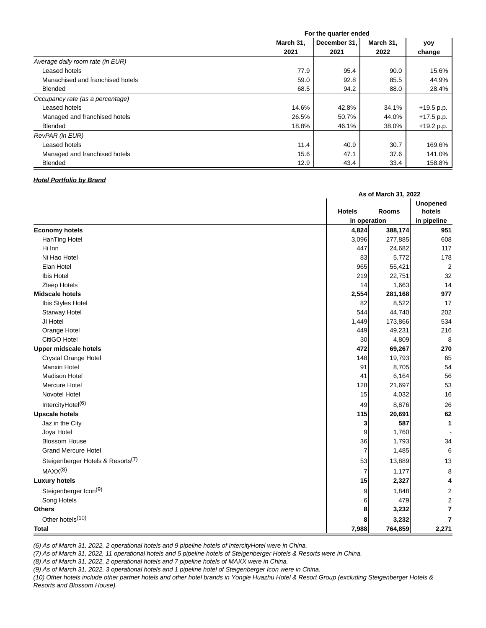|                                  | For the quarter ended |              |           |              |  |
|----------------------------------|-----------------------|--------------|-----------|--------------|--|
|                                  | March 31,             | December 31, | March 31, | yoy          |  |
|                                  | 2021                  | 2021         | 2022      | change       |  |
| Average daily room rate (in EUR) |                       |              |           |              |  |
| Leased hotels                    | 77.9                  | 95.4         | 90.0      | 15.6%        |  |
| Manachised and franchised hotels | 59.0                  | 92.8         | 85.5      | 44.9%        |  |
| <b>Blended</b>                   | 68.5                  | 94.2         | 88.0      | 28.4%        |  |
| Occupancy rate (as a percentage) |                       |              |           |              |  |
| Leased hotels                    | 14.6%                 | 42.8%        | 34.1%     | $+19.5$ p.p. |  |
| Managed and franchised hotels    | 26.5%                 | 50.7%        | 44.0%     | $+17.5$ p.p. |  |
| <b>Blended</b>                   | 18.8%                 | 46.1%        | 38.0%     | $+19.2 p.p.$ |  |
| RevPAR (in EUR)                  |                       |              |           |              |  |
| Leased hotels                    | 11.4                  | 40.9         | 30.7      | 169.6%       |  |
| Managed and franchised hotels    | 15.6                  | 47.1         | 37.6      | 141.0%       |  |
| <b>Blended</b>                   | 12.9                  | 43.4         | 33.4      | 158.8%       |  |

## **Hotel Portfolio by Brand**

|                                               |                | As of March 31, 2022 |                           |  |  |
|-----------------------------------------------|----------------|----------------------|---------------------------|--|--|
|                                               | <b>Hotels</b>  | <b>Rooms</b>         | <b>Unopened</b><br>hotels |  |  |
|                                               |                | in operation         |                           |  |  |
| <b>Economy hotels</b>                         | 4,824          | 388,174              | 951                       |  |  |
| HanTing Hotel                                 | 3,096          | 277,885              | 608                       |  |  |
| Hi Inn                                        | 447            | 24,682               | 117                       |  |  |
| Ni Hao Hotel                                  | 83             | 5,772                | 178                       |  |  |
| Elan Hotel                                    | 965            | 55,421               | $\overline{2}$            |  |  |
| Ibis Hotel                                    | 219            | 22,751               | 32                        |  |  |
| Zleep Hotels                                  | 14             | 1,663                | 14                        |  |  |
| <b>Midscale hotels</b>                        | 2,554          | 281,168              | 977                       |  |  |
| Ibis Styles Hotel                             | 82             | 8,522                | 17                        |  |  |
| Starway Hotel                                 | 544            | 44,740               | 202                       |  |  |
| JI Hotel                                      | 1,449          | 173,866              | 534                       |  |  |
| Orange Hotel                                  | 449            | 49,231               | 216                       |  |  |
| CitiGO Hotel                                  | 30             | 4,809                | 8                         |  |  |
| <b>Upper midscale hotels</b>                  | 472            | 69,267               | 270                       |  |  |
| Crystal Orange Hotel                          | 148            | 19,793               | 65                        |  |  |
| Manxin Hotel                                  | 91             | 8,705                | 54                        |  |  |
| <b>Madison Hotel</b>                          | 41             | 6,164                | 56                        |  |  |
| <b>Mercure Hotel</b>                          | 128            | 21,697               | 53                        |  |  |
| Novotel Hotel                                 | 15             | 4,032                | 16                        |  |  |
| IntercityHotel <sup>(6)</sup>                 | 49             | 8,876                | 26                        |  |  |
| <b>Upscale hotels</b>                         | 115            | 20,691               | 62                        |  |  |
| Jaz in the City                               | 3              | 587                  | 1                         |  |  |
| Joya Hotel                                    | 9              | 1,760                |                           |  |  |
| <b>Blossom House</b>                          | 36             | 1,793                | 34                        |  |  |
| <b>Grand Mercure Hotel</b>                    | $\overline{7}$ | 1,485                | 6                         |  |  |
| Steigenberger Hotels & Resorts <sup>(7)</sup> | 53             | 13,889               | 13                        |  |  |
| MAXX <sup>(8)</sup>                           | 7              | 1,177                | 8                         |  |  |
| <b>Luxury hotels</b>                          | 15             | 2,327                | 4                         |  |  |
| Steigenberger Icon <sup>(9)</sup>             | 9              | 1,848                | 2                         |  |  |
| Song Hotels                                   | 6              | 479                  | $\overline{\mathbf{c}}$   |  |  |
| <b>Others</b>                                 | 8              | 3,232                | $\overline{7}$            |  |  |
| Other hotels <sup>(10)</sup>                  | 8              | 3,232                | $\overline{7}$            |  |  |
| Total                                         | 7,988          | 764,859              | 2,271                     |  |  |

(6) As of March 31, 2022, 2 operational hotels and 9 pipeline hotels of IntercityHotel were in China.

(7) As of March 31, 2022, 11 operational hotels and 5 pipeline hotels of Steigenberger Hotels & Resorts were in China.

(8) As of March 31, 2022, 2 operational hotels and 7 pipeline hotels of MAXX were in China.

(9) As of March 31, 2022, 3 operational hotels and 1 pipeline hotel of Steigenberger Icon were in China.

(10) Other hotels include other partner hotels and other hotel brands in Yongle Huazhu Hotel & Resort Group (excluding Steigenberger Hotels & Resorts and Blossom House).